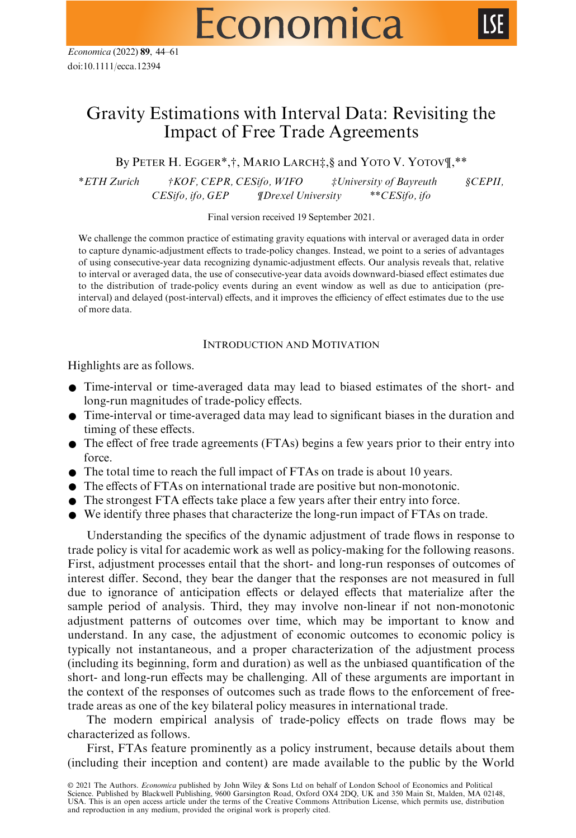# Gravity Estimations with Interval Data: Revisiting the Impact of Free Trade Agreements

Economica

By PETER H. EGGER\*,†, MARIO LARCH‡,§ and YOTO V. YOTOV¶,\*\*

\*ETH Zurich †KOF, CEPR, CESifo, WIFO ‡University of Bayreuth §CEPII, CESifo, ifo, GEP ¶Drexel University \*\*CESifo, ifo

Final version received 19 September 2021.

We challenge the common practice of estimating gravity equations with interval or averaged data in order to capture dynamic-adjustment effects to trade-policy changes. Instead, we point to a series of advantages of using consecutive-year data recognizing dynamic-adjustment effects. Our analysis reveals that, relative to interval or averaged data, the use of consecutive-year data avoids downward-biased effect estimates due to the distribution of trade-policy events during an event window as well as due to anticipation (preinterval) and delayed (post-interval) effects, and it improves the efficiency of effect estimates due to the use of more data.

## INTRODUCTION AND MOTIVATION

Highlights are as follows.

- Time-interval or time-averaged data may lead to biased estimates of the short- and long-run magnitudes of trade-policy effects.
- Time-interval or time-averaged data may lead to significant biases in the duration and timing of these effects.
- The effect of free trade agreements (FTAs) begins a few years prior to their entry into force.
- The total time to reach the full impact of FTAs on trade is about 10 years.
- The effects of FTAs on international trade are positive but non-monotonic.
- The strongest FTA effects take place a few years after their entry into force.
- We identify three phases that characterize the long-run impact of FTAs on trade.

Understanding the specifics of the dynamic adjustment of trade flows in response to trade policy is vital for academic work as well as policy-making for the following reasons. First, adjustment processes entail that the short- and long-run responses of outcomes of interest differ. Second, they bear the danger that the responses are not measured in full due to ignorance of anticipation effects or delayed effects that materialize after the sample period of analysis. Third, they may involve non-linear if not non-monotonic adjustment patterns of outcomes over time, which may be important to know and understand. In any case, the adjustment of economic outcomes to economic policy is typically not instantaneous, and a proper characterization of the adjustment process (including its beginning, form and duration) as well as the unbiased quantification of the short- and long-run effects may be challenging. All of these arguments are important in the context of the responses of outcomes such as trade flows to the enforcement of freetrade areas as one of the key bilateral policy measures in international trade.

The modern empirical analysis of trade-policy effects on trade flows may be characterized as follows.

First, FTAs feature prominently as a policy instrument, because details about them (including their inception and content) are made available to the public by the World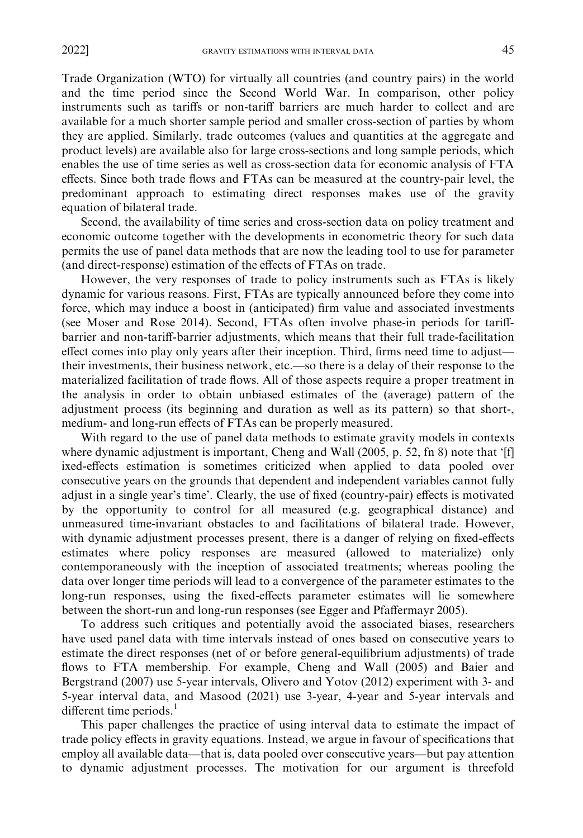Trade Organization (WTO) for virtually all countries (and country pairs) in the world and the time period since the Second World War. In comparison, other policy instruments such as tariffs or non-tariff barriers are much harder to collect and are available for a much shorter sample period and smaller cross-section of parties by whom they are applied. Similarly, trade outcomes (values and quantities at the aggregate and product levels) are available also for large cross-sections and long sample periods, which enables the use of time series as well as cross-section data for economic analysis of FTA effects. Since both trade flows and FTAs can be measured at the country-pair level, the predominant approach to estimating direct responses makes use of the gravity equation of bilateral trade.

Second, the availability of time series and cross-section data on policy treatment and economic outcome together with the developments in econometric theory for such data permits the use of panel data methods that are now the leading tool to use for parameter (and direct-response) estimation of the effects of FTAs on trade.

However, the very responses of trade to policy instruments such as FTAs is likely dynamic for various reasons. First, FTAs are typically announced before they come into force, which may induce a boost in (anticipated) firm value and associated investments (see Moser and Rose 2014). Second, FTAs often involve phase-in periods for tariffbarrier and non-tariff-barrier adjustments, which means that their full trade-facilitation effect comes into play only years after their inception. Third, firms need time to adjust their investments, their business network, etc.—so there is a delay of their response to the materialized facilitation of trade flows. All of those aspects require a proper treatment in the analysis in order to obtain unbiased estimates of the (average) pattern of the adjustment process (its beginning and duration as well as its pattern) so that short-, medium- and long-run effects of FTAs can be properly measured.

With regard to the use of panel data methods to estimate gravity models in contexts where dynamic adjustment is important, Cheng and Wall (2005, p. 52, fn 8) note that '[f] ixed-effects estimation is sometimes criticized when applied to data pooled over consecutive years on the grounds that dependent and independent variables cannot fully adjust in a single year's time'. Clearly, the use of fixed (country-pair) effects is motivated by the opportunity to control for all measured (e.g. geographical distance) and unmeasured time-invariant obstacles to and facilitations of bilateral trade. However, with dynamic adjustment processes present, there is a danger of relying on fixed-effects estimates where policy responses are measured (allowed to materialize) only contemporaneously with the inception of associated treatments; whereas pooling the data over longer time periods will lead to a convergence of the parameter estimates to the long-run responses, using the fixed-effects parameter estimates will lie somewhere between the short-run and long-run responses (see Egger and Pfaffermayr 2005).

To address such critiques and potentially avoid the associated biases, researchers have used panel data with time intervals instead of ones based on consecutive years to estimate the direct responses (net of or before general-equilibrium adjustments) of trade flows to FTA membership. For example, Cheng and Wall (2005) and Baier and Bergstrand (2007) use 5-year intervals, Olivero and Yotov (2012) experiment with 3- and 5-year interval data, and Masood (2021) use 3-year, 4-year and 5-year intervals and different time periods. $<sup>1</sup>$ </sup>

This paper challenges the practice of using interval data to estimate the impact of trade policy effects in gravity equations. Instead, we argue in favour of specifications that employ all available data—that is, data pooled over consecutive years—but pay attention to dynamic adjustment processes. The motivation for our argument is threefold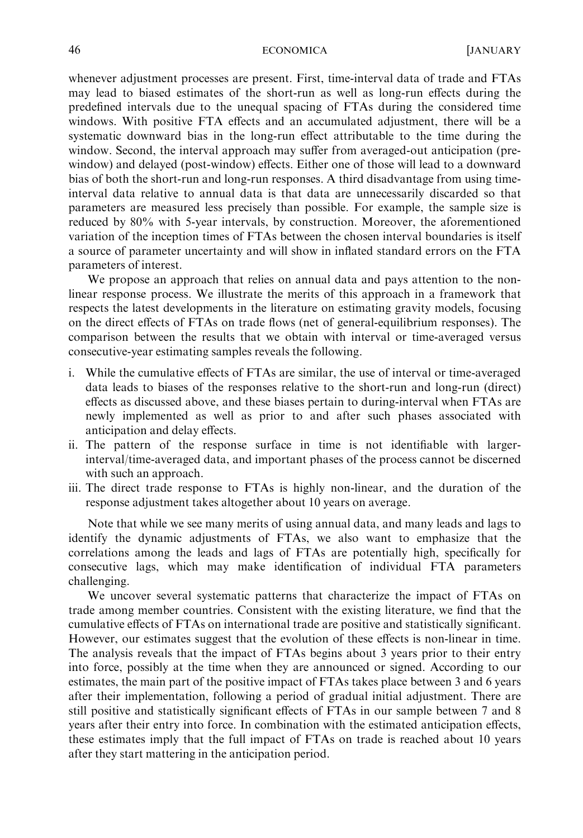46 ECONOMICA [JANUARY

whenever adjustment processes are present. First, time-interval data of trade and FTAs may lead to biased estimates of the short-run as well as long-run effects during the predefined intervals due to the unequal spacing of FTAs during the considered time windows. With positive FTA effects and an accumulated adjustment, there will be a systematic downward bias in the long-run effect attributable to the time during the window. Second, the interval approach may suffer from averaged-out anticipation (prewindow) and delayed (post-window) effects. Either one of those will lead to a downward bias of both the short-run and long-run responses. A third disadvantage from using timeinterval data relative to annual data is that data are unnecessarily discarded so that parameters are measured less precisely than possible. For example, the sample size is reduced by 80% with 5-year intervals, by construction. Moreover, the aforementioned variation of the inception times of FTAs between the chosen interval boundaries is itself a source of parameter uncertainty and will show in inflated standard errors on the FTA parameters of interest.

We propose an approach that relies on annual data and pays attention to the nonlinear response process. We illustrate the merits of this approach in a framework that respects the latest developments in the literature on estimating gravity models, focusing on the direct effects of FTAs on trade flows (net of general-equilibrium responses). The comparison between the results that we obtain with interval or time-averaged versus consecutive-year estimating samples reveals the following.

- i. While the cumulative effects of FTAs are similar, the use of interval or time-averaged data leads to biases of the responses relative to the short-run and long-run (direct) effects as discussed above, and these biases pertain to during-interval when FTAs are newly implemented as well as prior to and after such phases associated with anticipation and delay effects.
- ii. The pattern of the response surface in time is not identifiable with largerinterval/time-averaged data, and important phases of the process cannot be discerned with such an approach.
- iii. The direct trade response to FTAs is highly non-linear, and the duration of the response adjustment takes altogether about 10 years on average.

Note that while we see many merits of using annual data, and many leads and lags to identify the dynamic adjustments of FTAs, we also want to emphasize that the correlations among the leads and lags of FTAs are potentially high, specifically for consecutive lags, which may make identification of individual FTA parameters challenging.

We uncover several systematic patterns that characterize the impact of FTAs on trade among member countries. Consistent with the existing literature, we find that the cumulative effects of FTAs on international trade are positive and statistically significant. However, our estimates suggest that the evolution of these effects is non-linear in time. The analysis reveals that the impact of FTAs begins about 3 years prior to their entry into force, possibly at the time when they are announced or signed. According to our estimates, the main part of the positive impact of FTAs takes place between 3 and 6 years after their implementation, following a period of gradual initial adjustment. There are still positive and statistically significant effects of FTAs in our sample between 7 and 8 years after their entry into force. In combination with the estimated anticipation effects, these estimates imply that the full impact of FTAs on trade is reached about 10 years after they start mattering in the anticipation period.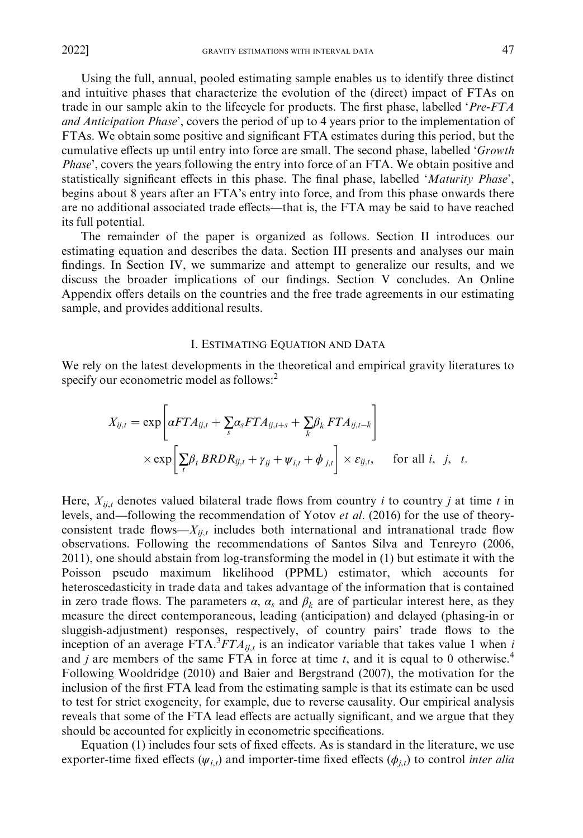Using the full, annual, pooled estimating sample enables us to identify three distinct and intuitive phases that characterize the evolution of the (direct) impact of FTAs on trade in our sample akin to the lifecycle for products. The first phase, labelled '*Pre-FTA* and Anticipation Phase', covers the period of up to 4 years prior to the implementation of FTAs. We obtain some positive and significant FTA estimates during this period, but the cumulative effects up until entry into force are small. The second phase, labelled 'Growth Phase', covers the years following the entry into force of an FTA. We obtain positive and statistically significant effects in this phase. The final phase, labelled 'Maturity Phase', begins about 8 years after an FTA's entry into force, and from this phase onwards there are no additional associated trade effects—that is, the FTA may be said to have reached its full potential.

The remainder of the paper is organized as follows. Section II introduces our estimating equation and describes the data. Section III presents and analyses our main findings. In Section IV, we summarize and attempt to generalize our results, and we discuss the broader implications of our findings. Section V concludes. An Online Appendix offers details on the countries and the free trade agreements in our estimating sample, and provides additional results.

## I. ESTIMATING EQUATION AND DATA

We rely on the latest developments in the theoretical and empirical gravity literatures to specify our econometric model as follows:<sup>2</sup>

$$
X_{ij,t} = \exp\left[\alpha F T A_{ij,t} + \sum_{s} \alpha_{s} F T A_{ij,t+s} + \sum_{k} \beta_{k} F T A_{ij,t-k}\right]
$$
  
 
$$
\times \exp\left[\sum_{t} \beta_{t} B R D R_{ij,t} + \gamma_{ij} + \psi_{i,t} + \phi_{j,t}\right] \times \varepsilon_{ij,t}, \quad \text{for all } i, j, t.
$$

Here,  $X_{ii}$ , denotes valued bilateral trade flows from country i to country j at time t in levels, and—following the recommendation of Yotov et al. (2016) for the use of theoryconsistent trade flows— $X_{ij,t}$  includes both international and intranational trade flow observations. Following the recommendations of Santos Silva and Tenreyro (2006, 2011), one should abstain from log-transforming the model in (1) but estimate it with the Poisson pseudo maximum likelihood (PPML) estimator, which accounts for heteroscedasticity in trade data and takes advantage of the information that is contained in zero trade flows. The parameters  $\alpha$ ,  $\alpha_s$  and  $\beta_k$  are of particular interest here, as they measure the direct contemporaneous, leading (anticipation) and delayed (phasing-in or sluggish-adjustment) responses, respectively, of country pairs' trade flows to the inception of an average FTA.<sup>3</sup>  $FTA_{ij,t}$  is an indicator variable that takes value 1 when i and *j* are members of the same FTA in force at time  $t$ , and it is equal to 0 otherwise.<sup>4</sup> Following Wooldridge (2010) and Baier and Bergstrand (2007), the motivation for the inclusion of the first FTA lead from the estimating sample is that its estimate can be used to test for strict exogeneity, for example, due to reverse causality. Our empirical analysis reveals that some of the FTA lead effects are actually significant, and we argue that they should be accounted for explicitly in econometric specifications.

Equation (1) includes four sets of fixed effects. As is standard in the literature, we use exporter-time fixed effects ( $\psi_{i,t}$ ) and importer-time fixed effects ( $\phi_{i,t}$ ) to control *inter alia*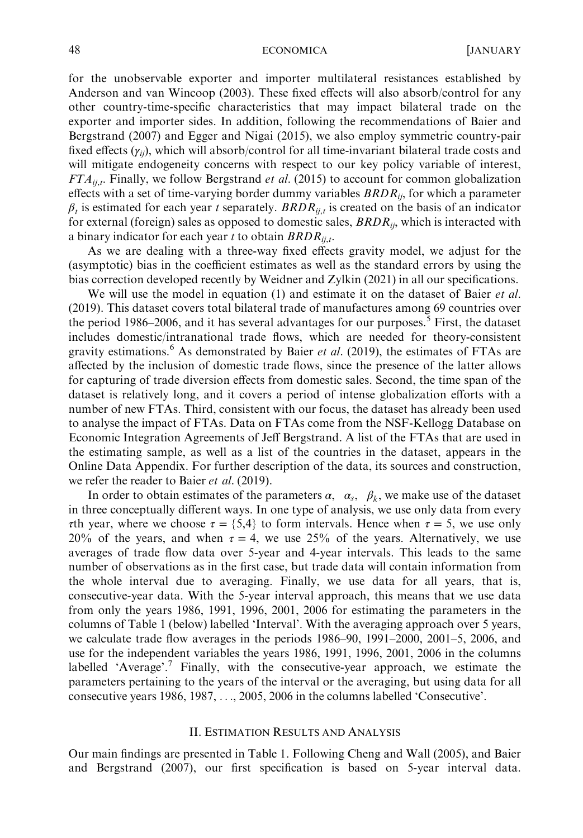#### 48 **ECONOMICA ECONOMICA** [JANUARY

for the unobservable exporter and importer multilateral resistances established by Anderson and van Wincoop (2003). These fixed effects will also absorb/control for any other country-time-specific characteristics that may impact bilateral trade on the exporter and importer sides. In addition, following the recommendations of Baier and Bergstrand (2007) and Egger and Nigai (2015), we also employ symmetric country-pair fixed effects  $(\gamma_{ii})$ , which will absorb/control for all time-invariant bilateral trade costs and will mitigate endogeneity concerns with respect to our key policy variable of interest,  $FTA_{ii}$ . Finally, we follow Bergstrand *et al.* (2015) to account for common globalization effects with a set of time-varying border dummy variables  $BRDR_{ii}$ , for which a parameter  $\beta_t$  is estimated for each year t separately. BRDR<sub>ij,t</sub> is created on the basis of an indicator for external (foreign) sales as opposed to domestic sales,  $BRDR_{ij}$ , which is interacted with a binary indicator for each year t to obtain  $BRDR_{ii,t}$ .

As we are dealing with a three-way fixed effects gravity model, we adjust for the (asymptotic) bias in the coefficient estimates as well as the standard errors by using the bias correction developed recently by Weidner and Zylkin (2021) in all our specifications.

We will use the model in equation (1) and estimate it on the dataset of Baier *et al.* (2019). This dataset covers total bilateral trade of manufactures among 69 countries over the period 1986–2006, and it has several advantages for our purposes.<sup>5</sup> First, the dataset includes domestic/intranational trade flows, which are needed for theory-consistent gravity estimations.<sup>6</sup> As demonstrated by Baier *et al.* (2019), the estimates of FTAs are affected by the inclusion of domestic trade flows, since the presence of the latter allows for capturing of trade diversion effects from domestic sales. Second, the time span of the dataset is relatively long, and it covers a period of intense globalization efforts with a number of new FTAs. Third, consistent with our focus, the dataset has already been used to analyse the impact of FTAs. Data on FTAs come from the NSF-Kellogg Database on Economic Integration Agreements of Jeff Bergstrand. A list of the FTAs that are used in the estimating sample, as well as a list of the countries in the dataset, appears in the Online Data Appendix. For further description of the data, its sources and construction, we refer the reader to Baier et al. (2019).

In order to obtain estimates of the parameters  $\alpha$ ,  $\alpha_s$ ,  $\beta_k$ , we make use of the dataset in three conceptually different ways. In one type of analysis, we use only data from every  $\tau$ th year, where we choose  $\tau = \{5,4\}$  to form intervals. Hence when  $\tau = 5$ , we use only 20% of the years, and when  $\tau = 4$ , we use 25% of the years. Alternatively, we use averages of trade flow data over 5-year and 4-year intervals. This leads to the same number of observations as in the first case, but trade data will contain information from the whole interval due to averaging. Finally, we use data for all years, that is, consecutive-year data. With the 5-year interval approach, this means that we use data from only the years 1986, 1991, 1996, 2001, 2006 for estimating the parameters in the columns of Table 1 (below) labelled 'Interval'. With the averaging approach over 5 years, we calculate trade flow averages in the periods 1986–90, 1991–2000, 2001–5, 2006, and use for the independent variables the years 1986, 1991, 1996, 2001, 2006 in the columns labelled 'Average'.<sup>7</sup> Finally, with the consecutive-year approach, we estimate the parameters pertaining to the years of the interval or the averaging, but using data for all consecutive years 1986, 1987, ..., 2005, 2006 in the columns labelled 'Consecutive'.

## II. ESTIMATION RESULTS AND ANALYSIS

Our main findings are presented in Table 1. Following Cheng and Wall (2005), and Baier and Bergstrand (2007), our first specification is based on 5-year interval data.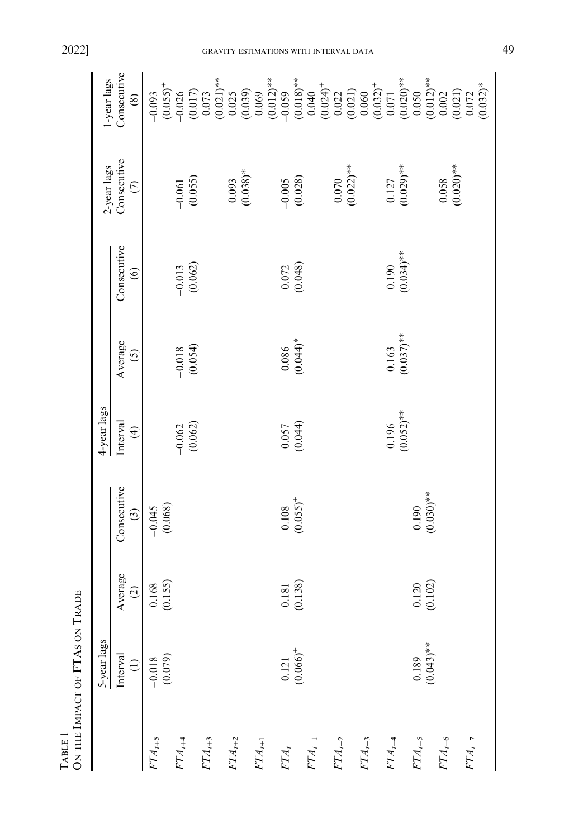|                      | 5-year lags             |                    |                        | 4-year lags             |                        |                        | 2-year lags                  | l-year lags                                                                                                                               |
|----------------------|-------------------------|--------------------|------------------------|-------------------------|------------------------|------------------------|------------------------------|-------------------------------------------------------------------------------------------------------------------------------------------|
|                      | Interval $(1)$          | Average<br>$\odot$ | Consecutive<br>$\odot$ | Interval<br>$\bigoplus$ | Average<br>$\odot$     | Consecutive<br>$\odot$ | Consecutive<br>$\widehat{C}$ | Consecutive<br>$\circledS$                                                                                                                |
| $FTA_{t+5}$          | $-0.018$<br>(0.079)     | 0.168              | $-0.045$               |                         |                        |                        |                              | $-0.093$                                                                                                                                  |
|                      |                         | (0.155)            | (0.068)                |                         |                        |                        |                              | $(0.055)^+$                                                                                                                               |
| $FTA_{t\texttt{+4}}$ |                         |                    |                        | $-0.062$<br>(0.062)     | $-0.018$<br>(0.054)    | $-0.013$<br>(0.062)    | $-0.061$<br>(0.055)          |                                                                                                                                           |
| $FTA_{t+3}$          |                         |                    |                        |                         |                        |                        |                              | $-0.026$<br>$(0.017)$<br>$(0.073)$<br>$0.073$<br>$(0.021)$<br>$(0.039)$<br>$(0.069)$                                                      |
|                      |                         |                    |                        |                         |                        |                        |                              |                                                                                                                                           |
| $FTA_{t+2}$          |                         |                    |                        |                         |                        |                        | 0.093                        |                                                                                                                                           |
|                      |                         |                    |                        |                         |                        |                        | $(0.038)*$                   |                                                                                                                                           |
| $FTA_{t+1}$          |                         |                    |                        |                         |                        |                        |                              |                                                                                                                                           |
| $FTA_t$              |                         | 0.181              |                        |                         |                        |                        | $-0.005$                     |                                                                                                                                           |
|                      | $0.121$<br>$(0.066)^+$  | (0.138)            | $0.108$<br>$(0.055)^+$ | $0.057$<br>$(0.044)$    | $0.086$<br>$(0.044)^*$ | $0.072$<br>$(0.048)$   | (0.028)                      |                                                                                                                                           |
| $FTA_{t-1}$          |                         |                    |                        |                         |                        |                        |                              |                                                                                                                                           |
|                      |                         |                    |                        |                         |                        |                        |                              |                                                                                                                                           |
| $FTA_{t-2}$          |                         |                    |                        |                         |                        |                        | 0.070                        |                                                                                                                                           |
|                      |                         |                    |                        |                         |                        |                        | $(0.022)$ **                 |                                                                                                                                           |
| $FTA_{t-3}$          |                         |                    |                        |                         |                        |                        |                              |                                                                                                                                           |
|                      |                         |                    |                        |                         |                        |                        |                              |                                                                                                                                           |
| $FTA_{t-4}$          |                         |                    |                        | 0.196                   | 0.163                  | 0.190                  | 0.127                        |                                                                                                                                           |
|                      |                         |                    |                        | $(0.052)$ **            | $(0.037)$ **           | $(0.034)$ **           | $(0.029)$ **                 |                                                                                                                                           |
| $FTA_{t-5}$          | $0.189$<br>$(0.043)$ ** | (0.102)<br>0.120   | 0.190                  |                         |                        |                        |                              |                                                                                                                                           |
| $FTA_{t-6}$          |                         |                    | $(0.030)$ **           |                         |                        |                        | 0.058                        |                                                                                                                                           |
|                      |                         |                    |                        |                         |                        |                        | $(0.020)$ **                 |                                                                                                                                           |
| $FTA_{t-7}$          |                         |                    |                        |                         |                        |                        |                              | $(0.012)_{*}^{**}$ (0.059<br>$-0.059$<br>(0.064)<br>(0.044)<br>(0.024)<br>(0.021)<br>(0.021)<br>(0.032)<br>(0.002)<br>(0.002)<br>(0.032)* |
|                      |                         |                    |                        |                         |                        |                        |                              |                                                                                                                                           |

TABLE 1

ON THE IMPACT OF FTAS ON

TRADE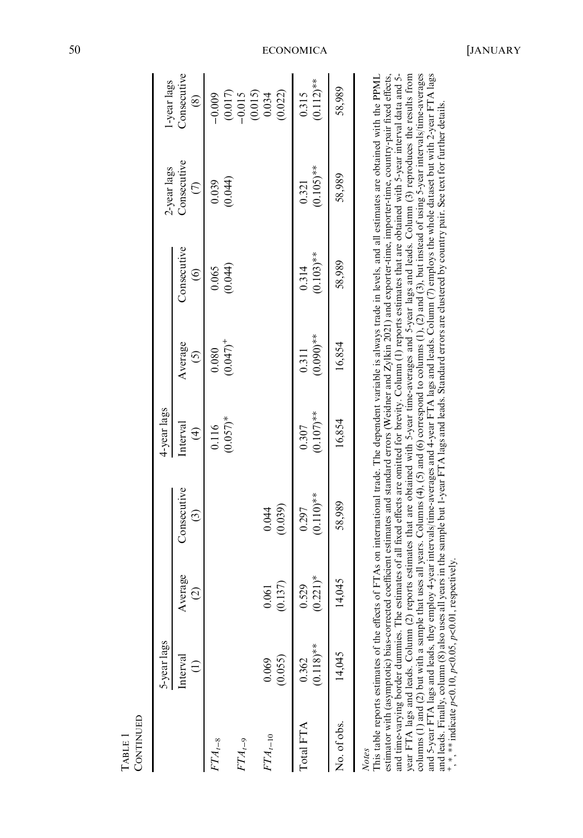|              | 5-year lags           |                              |                                                                                                                                                                              | 4-year lags             |                      |                                                                                                                                                                                                                                                                                                                                                            | 2-year lags                    | 1-year lags                   |
|--------------|-----------------------|------------------------------|------------------------------------------------------------------------------------------------------------------------------------------------------------------------------|-------------------------|----------------------|------------------------------------------------------------------------------------------------------------------------------------------------------------------------------------------------------------------------------------------------------------------------------------------------------------------------------------------------------------|--------------------------------|-------------------------------|
|              | Interval              | Average<br>$\widehat{\circ}$ | Consecutive<br>$\widehat{c}$                                                                                                                                                 | Interval<br>$\bigoplus$ | Average<br>$\odot$   | Consecutive<br>$\odot$                                                                                                                                                                                                                                                                                                                                     | Consecutive<br>$\widehat{\in}$ | Consecutive<br>$\circledast$  |
| $FTA_{t-8}$  |                       |                              |                                                                                                                                                                              | $(0.057)*$<br>0.116     | $(0.047)^+$<br>0.080 | (0.044)<br>0.065                                                                                                                                                                                                                                                                                                                                           | (0.044)<br>0.039               | (0.017)<br>$-0.009$           |
| $FTA_{t-9}$  |                       |                              |                                                                                                                                                                              |                         |                      |                                                                                                                                                                                                                                                                                                                                                            |                                | $-0.015$                      |
| $FTA_{t-10}$ | (0.055)<br>0.069      | 0.137<br>0.061               | (0.039)<br>0.044                                                                                                                                                             |                         |                      |                                                                                                                                                                                                                                                                                                                                                            |                                | $(0.015)$<br>0.034<br>(0.022) |
| Total FTA    | $(0.118)$ **<br>0.362 | $0.221)$ *<br>0.529          | $(0.110)*$<br>0.297                                                                                                                                                          | $(0.107)$ **<br>0.307   | $(0.090)*$<br>0.311  | $(0.103)$ **<br>0.314                                                                                                                                                                                                                                                                                                                                      | $(0.105)$ **<br>0.321          | $(0.112)$ **<br>0.315         |
| No. of obs.  | 14.045                | 14,045                       | 58,989                                                                                                                                                                       | 16,854                  | 16,854               | 58,989                                                                                                                                                                                                                                                                                                                                                     | 58,989                         | 58,989                        |
| Notes        |                       |                              | and time-varying border dummies. The estimates of all fixed effects are omitted for brevity. Column (1) reports estimates that are obtained with 5-year interval data and 5- |                         |                      | estimator with (asymptotic) bias-corrected coefficient estimates and standard errors (Weidner and Zylkin 2021) and exporter-time, importer-time, country-pair fixed effects,<br>This table reports estimates of the effects of FTAs on international trade. The dependent variable is always trade in levels, and all estimates are obtained with the PPML |                                |                               |

year FTA lags and leads. Column (2) reports estimates that are obtained with 5-year time-averages and 5-year lags and leads. Column (3) reproduces the results from columns (1) and (2) but with a sample that uses all years year FTA lags and leads. Column (2) reports estimates that are obtained with 5-year time-averages and 5-year lags and leads. Column (3) reproduces the results from columns (1) and (2) but with a sample that uses all years. Columns (4), (5) and (6) correspond to columns (1), (2) and (3), but instead of using 5-year intervals/time-averages and 5-year FTA lags and leads, they employ 4-year intervals/time-averages and 4-year FTA lags and leads. Column (7) employs the whole dataset but with 2-year FTA lags and leads. Finally, column (8) also uses all years in the sample but 1-year FTA lags and leads. Standard errors are clustered by country pair. See text for further details. \*\* indicate  $p<0.10$ ,  $p<0.05$ ,  $p<0.01$ , respectively.  $*$  ,  $*$ 

TABLE 1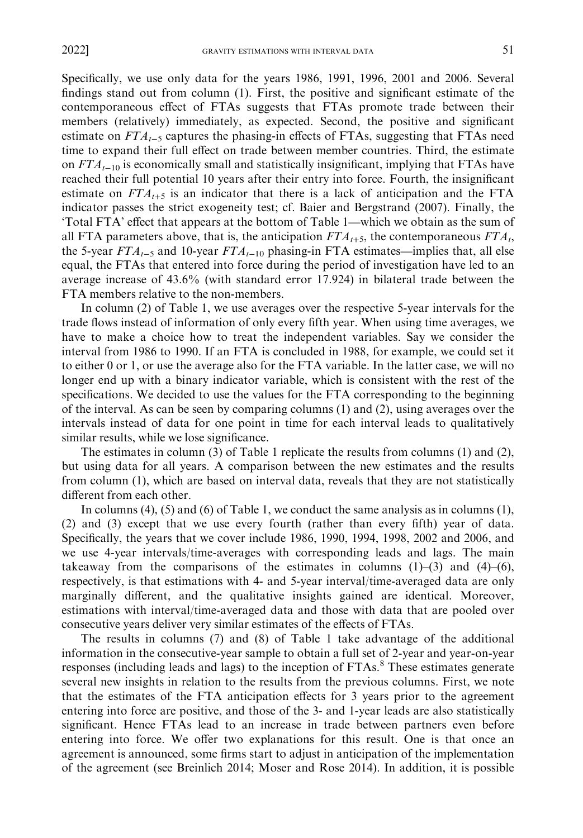Specifically, we use only data for the years 1986, 1991, 1996, 2001 and 2006. Several findings stand out from column (1). First, the positive and significant estimate of the contemporaneous effect of FTAs suggests that FTAs promote trade between their members (relatively) immediately, as expected. Second, the positive and significant estimate on  $FTA_{t-5}$  captures the phasing-in effects of FTAs, suggesting that FTAs need time to expand their full effect on trade between member countries. Third, the estimate on  $FTA_{t-10}$  is economically small and statistically insignificant, implying that FTAs have reached their full potential 10 years after their entry into force. Fourth, the insignificant estimate on  $FTA_{t+5}$  is an indicator that there is a lack of anticipation and the FTA indicator passes the strict exogeneity test; cf. Baier and Bergstrand (2007). Finally, the 'Total FTA' effect that appears at the bottom of Table 1—which we obtain as the sum of all FTA parameters above, that is, the anticipation  $FTA_{t+5}$ , the contemporaneous  $FTA_{t}$ , the 5-year  $FTA_{t-5}$  and 10-year  $FTA_{t-10}$  phasing-in FTA estimates—implies that, all else equal, the FTAs that entered into force during the period of investigation have led to an average increase of 43.6% (with standard error 17.924) in bilateral trade between the FTA members relative to the non-members.

In column (2) of Table 1, we use averages over the respective 5-year intervals for the trade flows instead of information of only every fifth year. When using time averages, we have to make a choice how to treat the independent variables. Say we consider the interval from 1986 to 1990. If an FTA is concluded in 1988, for example, we could set it to either 0 or 1, or use the average also for the FTA variable. In the latter case, we will no longer end up with a binary indicator variable, which is consistent with the rest of the specifications. We decided to use the values for the FTA corresponding to the beginning of the interval. As can be seen by comparing columns (1) and (2), using averages over the intervals instead of data for one point in time for each interval leads to qualitatively similar results, while we lose significance.

The estimates in column (3) of Table 1 replicate the results from columns (1) and (2), but using data for all years. A comparison between the new estimates and the results from column (1), which are based on interval data, reveals that they are not statistically different from each other.

In columns  $(4)$ ,  $(5)$  and  $(6)$  of Table 1, we conduct the same analysis as in columns  $(1)$ , (2) and (3) except that we use every fourth (rather than every fifth) year of data. Specifically, the years that we cover include 1986, 1990, 1994, 1998, 2002 and 2006, and we use 4-year intervals/time-averages with corresponding leads and lags. The main takeaway from the comparisons of the estimates in columns  $(1)$ – $(3)$  and  $(4)$ – $(6)$ , respectively, is that estimations with 4- and 5-year interval/time-averaged data are only marginally different, and the qualitative insights gained are identical. Moreover, estimations with interval/time-averaged data and those with data that are pooled over consecutive years deliver very similar estimates of the effects of FTAs.

The results in columns (7) and (8) of Table 1 take advantage of the additional information in the consecutive-year sample to obtain a full set of 2-year and year-on-year responses (including leads and lags) to the inception of FTAs.<sup>8</sup> These estimates generate several new insights in relation to the results from the previous columns. First, we note that the estimates of the FTA anticipation effects for 3 years prior to the agreement entering into force are positive, and those of the 3- and 1-year leads are also statistically significant. Hence FTAs lead to an increase in trade between partners even before entering into force. We offer two explanations for this result. One is that once an agreement is announced, some firms start to adjust in anticipation of the implementation of the agreement (see Breinlich 2014; Moser and Rose 2014). In addition, it is possible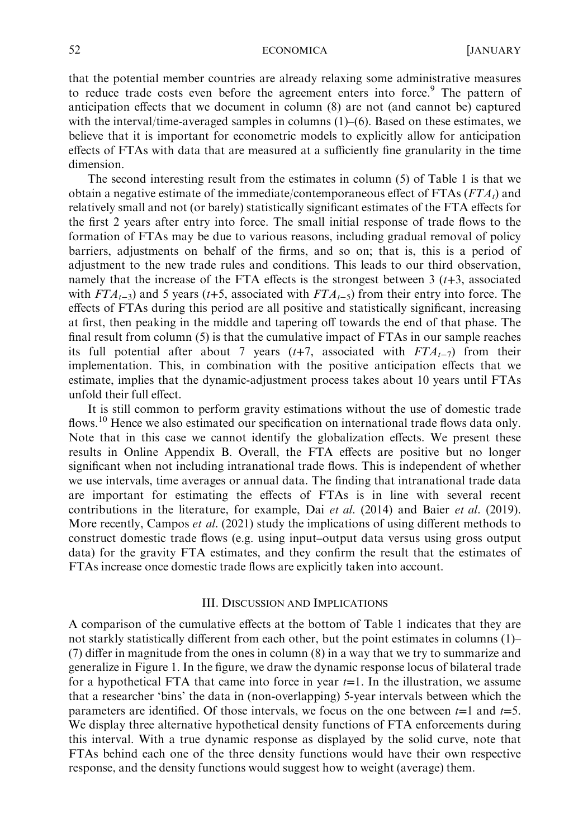that the potential member countries are already relaxing some administrative measures to reduce trade costs even before the agreement enters into force.<sup>9</sup> The pattern of anticipation effects that we document in column (8) are not (and cannot be) captured with the interval/time-averaged samples in columns (1)–(6). Based on these estimates, we believe that it is important for econometric models to explicitly allow for anticipation effects of FTAs with data that are measured at a sufficiently fine granularity in the time dimension.

The second interesting result from the estimates in column (5) of Table 1 is that we obtain a negative estimate of the immediate/contemporaneous effect of  $FTAs$  ( $FTA<sub>t</sub>$ ) and relatively small and not (or barely) statistically significant estimates of the FTA effects for the first 2 years after entry into force. The small initial response of trade flows to the formation of FTAs may be due to various reasons, including gradual removal of policy barriers, adjustments on behalf of the firms, and so on; that is, this is a period of adjustment to the new trade rules and conditions. This leads to our third observation, namely that the increase of the FTA effects is the strongest between 3  $(t+3)$ , associated with  $FTA_{t-3}$ ) and 5 years (t+5, associated with  $FTA_{t-5}$ ) from their entry into force. The effects of FTAs during this period are all positive and statistically significant, increasing at first, then peaking in the middle and tapering off towards the end of that phase. The final result from column (5) is that the cumulative impact of FTAs in our sample reaches its full potential after about 7 years ( $t+7$ , associated with  $FTA_{t-7}$ ) from their implementation. This, in combination with the positive anticipation effects that we estimate, implies that the dynamic-adjustment process takes about 10 years until FTAs unfold their full effect.

It is still common to perform gravity estimations without the use of domestic trade flows.<sup>10</sup> Hence we also estimated our specification on international trade flows data only. Note that in this case we cannot identify the globalization effects. We present these results in Online Appendix B. Overall, the FTA effects are positive but no longer significant when not including intranational trade flows. This is independent of whether we use intervals, time averages or annual data. The finding that intranational trade data are important for estimating the effects of FTAs is in line with several recent contributions in the literature, for example, Dai *et al.* (2014) and Baier *et al.* (2019). More recently, Campos et al. (2021) study the implications of using different methods to construct domestic trade flows (e.g. using input–output data versus using gross output data) for the gravity FTA estimates, and they confirm the result that the estimates of FTAs increase once domestic trade flows are explicitly taken into account.

### III. DISCUSSION AND IMPLICATIONS

A comparison of the cumulative effects at the bottom of Table 1 indicates that they are not starkly statistically different from each other, but the point estimates in columns (1)– (7) differ in magnitude from the ones in column (8) in a way that we try to summarize and generalize in Figure 1. In the figure, we draw the dynamic response locus of bilateral trade for a hypothetical FTA that came into force in year  $t=1$ . In the illustration, we assume that a researcher 'bins' the data in (non-overlapping) 5-year intervals between which the parameters are identified. Of those intervals, we focus on the one between  $t=1$  and  $t=5$ . We display three alternative hypothetical density functions of FTA enforcements during this interval. With a true dynamic response as displayed by the solid curve, note that FTAs behind each one of the three density functions would have their own respective response, and the density functions would suggest how to weight (average) them.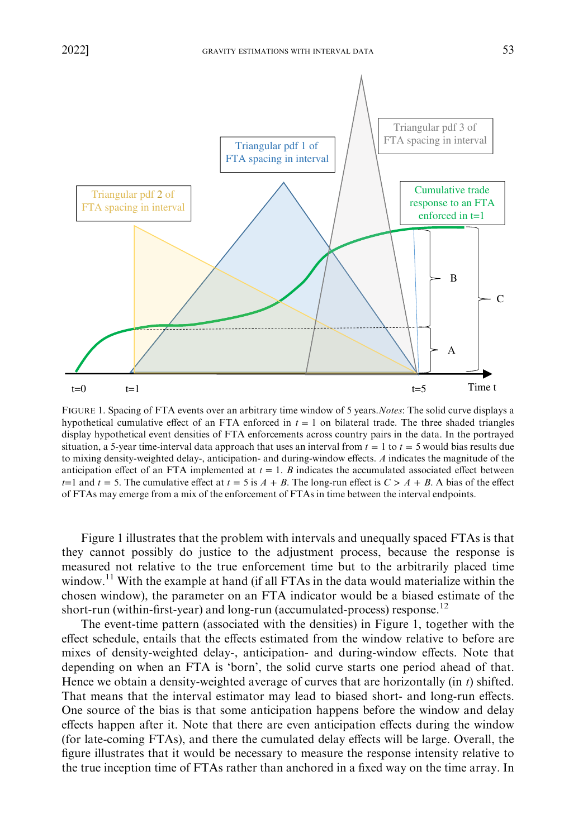

FIGURE 1. Spacing of FTA events over an arbitrary time window of 5 years. Notes: The solid curve displays a hypothetical cumulative effect of an FTA enforced in  $t = 1$  on bilateral trade. The three shaded triangles display hypothetical event densities of FTA enforcements across country pairs in the data. In the portrayed situation, a 5-year time-interval data approach that uses an interval from  $t = 1$  to  $t = 5$  would bias results due to mixing density-weighted delay-, anticipation- and during-window effects. A indicates the magnitude of the anticipation effect of an FTA implemented at  $t = 1$ . B indicates the accumulated associated effect between t=1 and t = 5. The cumulative effect at  $t = 5$  is  $A + B$ . The long-run effect is  $C > A + B$ . A bias of the effect of FTAs may emerge from a mix of the enforcement of FTAs in time between the interval endpoints.

Figure 1 illustrates that the problem with intervals and unequally spaced FTAs is that they cannot possibly do justice to the adjustment process, because the response is measured not relative to the true enforcement time but to the arbitrarily placed time window.<sup>11</sup> With the example at hand (if all FTAs in the data would materialize within the chosen window), the parameter on an FTA indicator would be a biased estimate of the short-run (within-first-year) and long-run (accumulated-process) response.<sup>12</sup>

The event-time pattern (associated with the densities) in Figure 1, together with the effect schedule, entails that the effects estimated from the window relative to before are mixes of density-weighted delay-, anticipation- and during-window effects. Note that depending on when an FTA is 'born', the solid curve starts one period ahead of that. Hence we obtain a density-weighted average of curves that are horizontally (in t) shifted. That means that the interval estimator may lead to biased short- and long-run effects. One source of the bias is that some anticipation happens before the window and delay effects happen after it. Note that there are even anticipation effects during the window (for late-coming FTAs), and there the cumulated delay effects will be large. Overall, the figure illustrates that it would be necessary to measure the response intensity relative to the true inception time of FTAs rather than anchored in a fixed way on the time array. In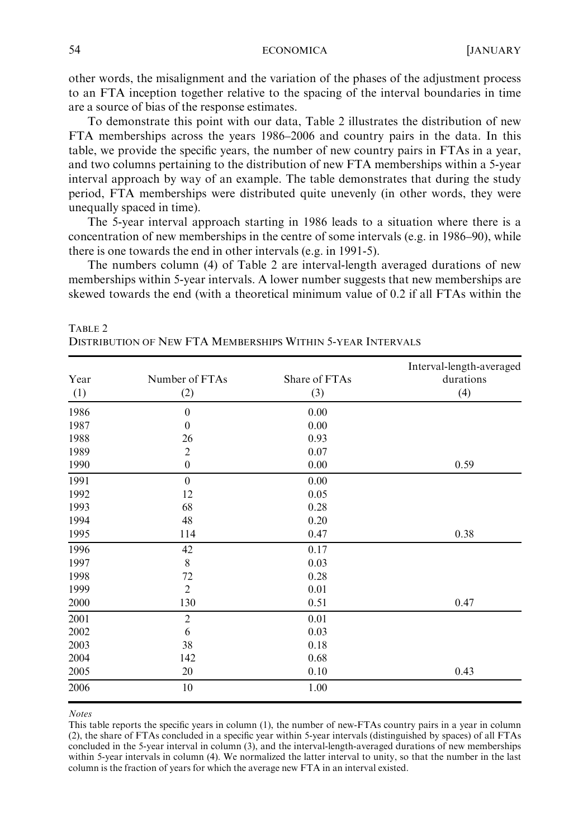other words, the misalignment and the variation of the phases of the adjustment process to an FTA inception together relative to the spacing of the interval boundaries in time are a source of bias of the response estimates.

To demonstrate this point with our data, Table 2 illustrates the distribution of new FTA memberships across the years 1986–2006 and country pairs in the data. In this table, we provide the specific years, the number of new country pairs in FTAs in a year, and two columns pertaining to the distribution of new FTA memberships within a 5-year interval approach by way of an example. The table demonstrates that during the study period, FTA memberships were distributed quite unevenly (in other words, they were unequally spaced in time).

The 5-year interval approach starting in 1986 leads to a situation where there is a concentration of new memberships in the centre of some intervals (e.g. in 1986–90), while there is one towards the end in other intervals (e.g. in 1991-5).

The numbers column (4) of Table 2 are interval-length averaged durations of new memberships within 5-year intervals. A lower number suggests that new memberships are skewed towards the end (with a theoretical minimum value of 0.2 if all FTAs within the

| Year<br>(1) | Number of FTAs<br>(2) | Share of FTAs<br>(3) | Interval-length-averaged<br>durations<br>(4) |
|-------------|-----------------------|----------------------|----------------------------------------------|
| 1986        | $\boldsymbol{0}$      | 0.00                 |                                              |
| 1987        | $\overline{0}$        | 0.00                 |                                              |
| 1988        | 26                    | 0.93                 |                                              |
| 1989        | $\mathfrak{2}$        | 0.07                 |                                              |
| 1990        | $\boldsymbol{0}$      | 0.00                 | 0.59                                         |
| 1991        | $\theta$              | 0.00                 |                                              |
| 1992        | 12                    | 0.05                 |                                              |
| 1993        | 68                    | 0.28                 |                                              |
| 1994        | 48                    | 0.20                 |                                              |
| 1995        | 114                   | 0.47                 | 0.38                                         |
| 1996        | 42                    | 0.17                 |                                              |
| 1997        | 8                     | 0.03                 |                                              |
| 1998        | 72                    | 0.28                 |                                              |
| 1999        | $\overline{2}$        | 0.01                 |                                              |
| 2000        | 130                   | 0.51                 | 0.47                                         |
| 2001        | $\sqrt{2}$            | $0.01\,$             |                                              |
| 2002        | 6                     | 0.03                 |                                              |
| 2003        | 38                    | 0.18                 |                                              |
| 2004        | 142                   | 0.68                 |                                              |
| 2005        | $20\,$                | 0.10                 | 0.43                                         |
| 2006        | 10                    | 1.00                 |                                              |

| TABLE 2                                                     |  |  |
|-------------------------------------------------------------|--|--|
| DISTRIBUTION OF NEW FTA MEMBERSHIPS WITHIN 5-YEAR INTERVALS |  |  |

Notes

This table reports the specific years in column (1), the number of new-FTAs country pairs in a year in column (2), the share of FTAs concluded in a specific year within 5-year intervals (distinguished by spaces) of all FTAs concluded in the 5-year interval in column (3), and the interval-length-averaged durations of new memberships within 5-year intervals in column (4). We normalized the latter interval to unity, so that the number in the last column is the fraction of years for which the average new FTA in an interval existed.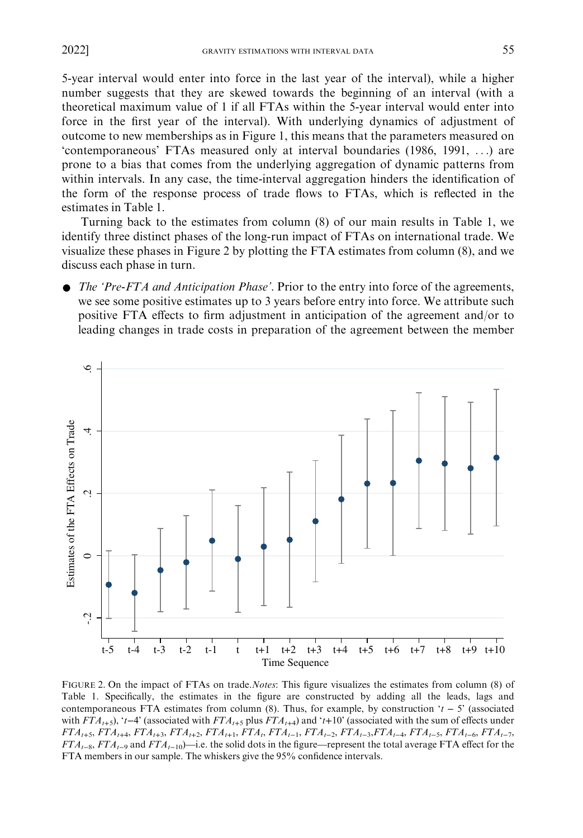5-year interval would enter into force in the last year of the interval), while a higher number suggests that they are skewed towards the beginning of an interval (with a theoretical maximum value of 1 if all FTAs within the 5-year interval would enter into force in the first year of the interval). With underlying dynamics of adjustment of outcome to new memberships as in Figure 1, this means that the parameters measured on 'contemporaneous' FTAs measured only at interval boundaries (1986, 1991, ...) are prone to a bias that comes from the underlying aggregation of dynamic patterns from within intervals. In any case, the time-interval aggregation hinders the identification of the form of the response process of trade flows to FTAs, which is reflected in the estimates in Table 1.

Turning back to the estimates from column (8) of our main results in Table 1, we identify three distinct phases of the long-run impact of FTAs on international trade. We visualize these phases in Figure 2 by plotting the FTA estimates from column (8), and we discuss each phase in turn.

The 'Pre-FTA and Anticipation Phase'. Prior to the entry into force of the agreements, we see some positive estimates up to 3 years before entry into force. We attribute such positive FTA effects to firm adjustment in anticipation of the agreement and/or to leading changes in trade costs in preparation of the agreement between the member



FIGURE 2. On the impact of FTAs on trade.Notes: This figure visualizes the estimates from column (8) of Table 1. Specifically, the estimates in the figure are constructed by adding all the leads, lags and contemporaneous FTA estimates from column (8). Thus, for example, by construction ' $t - 5$ ' (associated with  $FTA_{t+5}$ , 't−4' (associated with  $FTA_{t+5}$  plus  $FTA_{t+4}$ ) and 't+10' (associated with the sum of effects under  $FTA_{t+5}, FTA_{t+4}, FTA_{t+3}, FTA_{t+2}, FTA_{t+1}, FTA_{t}, FTA_{t-1}, FTA_{t-2}, FTA_{t-3}, FTA_{t-4}, FTA_{t-5}, FTA_{t-6}, FTA_{t-7},$  $FTA_{t-8}$ ,  $FTA_{t-9}$  and  $FTA_{t-10}$ —i.e. the solid dots in the figure—represent the total average FTA effect for the FTA members in our sample. The whiskers give the 95% confidence intervals.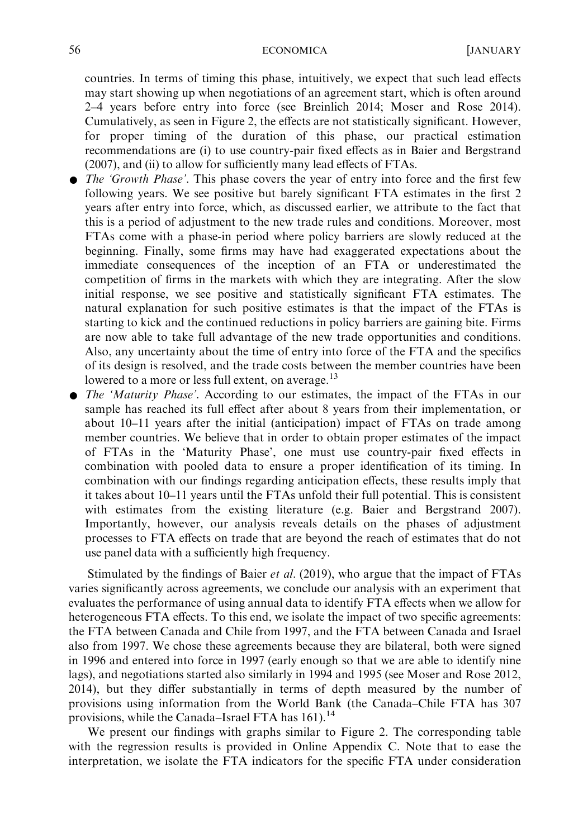## 56 ECONOMICA [JANUARY

countries. In terms of timing this phase, intuitively, we expect that such lead effects may start showing up when negotiations of an agreement start, which is often around 2–4 years before entry into force (see Breinlich 2014; Moser and Rose 2014). Cumulatively, as seen in Figure 2, the effects are not statistically significant. However, for proper timing of the duration of this phase, our practical estimation recommendations are (i) to use country-pair fixed effects as in Baier and Bergstrand (2007), and (ii) to allow for sufficiently many lead effects of FTAs.

- The 'Growth Phase'. This phase covers the year of entry into force and the first few following years. We see positive but barely significant FTA estimates in the first 2 years after entry into force, which, as discussed earlier, we attribute to the fact that this is a period of adjustment to the new trade rules and conditions. Moreover, most FTAs come with a phase-in period where policy barriers are slowly reduced at the beginning. Finally, some firms may have had exaggerated expectations about the immediate consequences of the inception of an FTA or underestimated the competition of firms in the markets with which they are integrating. After the slow initial response, we see positive and statistically significant FTA estimates. The natural explanation for such positive estimates is that the impact of the FTAs is starting to kick and the continued reductions in policy barriers are gaining bite. Firms are now able to take full advantage of the new trade opportunities and conditions. Also, any uncertainty about the time of entry into force of the FTA and the specifics of its design is resolved, and the trade costs between the member countries have been lowered to a more or less full extent, on average.<sup>13</sup>
- The 'Maturity Phase'. According to our estimates, the impact of the FTAs in our sample has reached its full effect after about 8 years from their implementation, or about 10–11 years after the initial (anticipation) impact of FTAs on trade among member countries. We believe that in order to obtain proper estimates of the impact of FTAs in the 'Maturity Phase', one must use country-pair fixed effects in combination with pooled data to ensure a proper identification of its timing. In combination with our findings regarding anticipation effects, these results imply that it takes about 10–11 years until the FTAs unfold their full potential. This is consistent with estimates from the existing literature (e.g. Baier and Bergstrand 2007). Importantly, however, our analysis reveals details on the phases of adjustment processes to FTA effects on trade that are beyond the reach of estimates that do not use panel data with a sufficiently high frequency.

Stimulated by the findings of Baier et al. (2019), who argue that the impact of FTAs varies significantly across agreements, we conclude our analysis with an experiment that evaluates the performance of using annual data to identify FTA effects when we allow for heterogeneous FTA effects. To this end, we isolate the impact of two specific agreements: the FTA between Canada and Chile from 1997, and the FTA between Canada and Israel also from 1997. We chose these agreements because they are bilateral, both were signed in 1996 and entered into force in 1997 (early enough so that we are able to identify nine lags), and negotiations started also similarly in 1994 and 1995 (see Moser and Rose 2012, 2014), but they differ substantially in terms of depth measured by the number of provisions using information from the World Bank (the Canada–Chile FTA has 307 provisions, while the Canada–Israel FTA has 161).<sup>14</sup>

We present our findings with graphs similar to Figure 2. The corresponding table with the regression results is provided in Online Appendix C. Note that to ease the interpretation, we isolate the FTA indicators for the specific FTA under consideration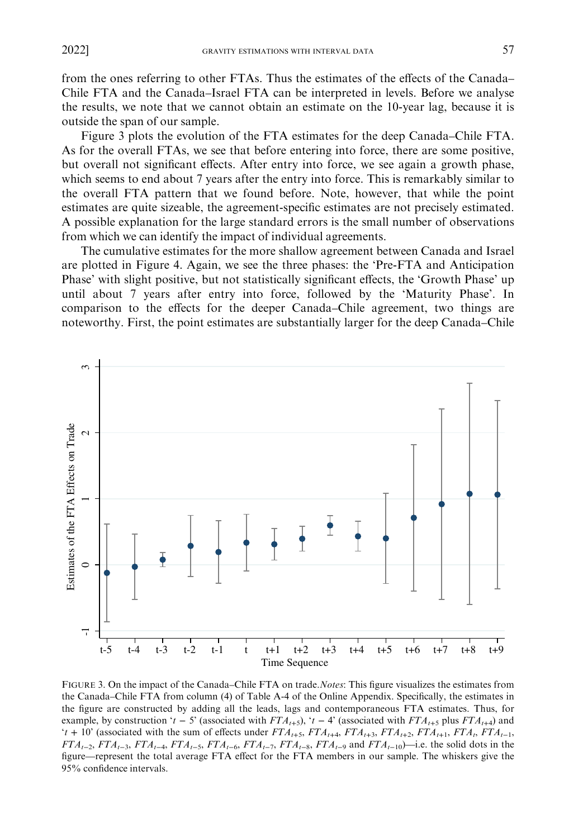from the ones referring to other FTAs. Thus the estimates of the effects of the Canada– Chile FTA and the Canada–Israel FTA can be interpreted in levels. Before we analyse the results, we note that we cannot obtain an estimate on the 10-year lag, because it is outside the span of our sample.

Figure 3 plots the evolution of the FTA estimates for the deep Canada–Chile FTA. As for the overall FTAs, we see that before entering into force, there are some positive, but overall not significant effects. After entry into force, we see again a growth phase, which seems to end about 7 years after the entry into force. This is remarkably similar to the overall FTA pattern that we found before. Note, however, that while the point estimates are quite sizeable, the agreement-specific estimates are not precisely estimated. A possible explanation for the large standard errors is the small number of observations from which we can identify the impact of individual agreements.

The cumulative estimates for the more shallow agreement between Canada and Israel are plotted in Figure 4. Again, we see the three phases: the 'Pre-FTA and Anticipation Phase' with slight positive, but not statistically significant effects, the 'Growth Phase' up until about 7 years after entry into force, followed by the 'Maturity Phase'. In comparison to the effects for the deeper Canada–Chile agreement, two things are noteworthy. First, the point estimates are substantially larger for the deep Canada–Chile



FIGURE 3. On the impact of the Canada–Chile FTA on trade.Notes: This figure visualizes the estimates from the Canada–Chile FTA from column (4) of Table A-4 of the Online Appendix. Specifically, the estimates in the figure are constructed by adding all the leads, lags and contemporaneous FTA estimates. Thus, for example, by construction 't – 5' (associated with  $FTA_{t+5}$ ), 't – 4' (associated with  $FTA_{t+5}$  plus  $FTA_{t+4}$ ) and 't + 10' (associated with the sum of effects under  $FTA_{t+5}$ ,  $FTA_{t+3}$ ,  $FTA_{t+3}$ ,  $FTA_{t+2}$ ,  $FTA_{t+1}$ ,  $FTA_{t}$ ,  $FTA_{t-1}$ ,  $FTA_{t-2}$ ,  $FTA_{t-3}$ ,  $FTA_{t-4}$ ,  $FTA_{t-5}$ ,  $FTA_{t-6}$ ,  $FTA_{t-7}$ ,  $FTA_{t-8}$ ,  $FTA_{t-9}$  and  $FTA_{t-10}$ )—i.e. the solid dots in the figure—represent the total average FTA effect for the FTA members in our sample. The whiskers give the 95% confidence intervals.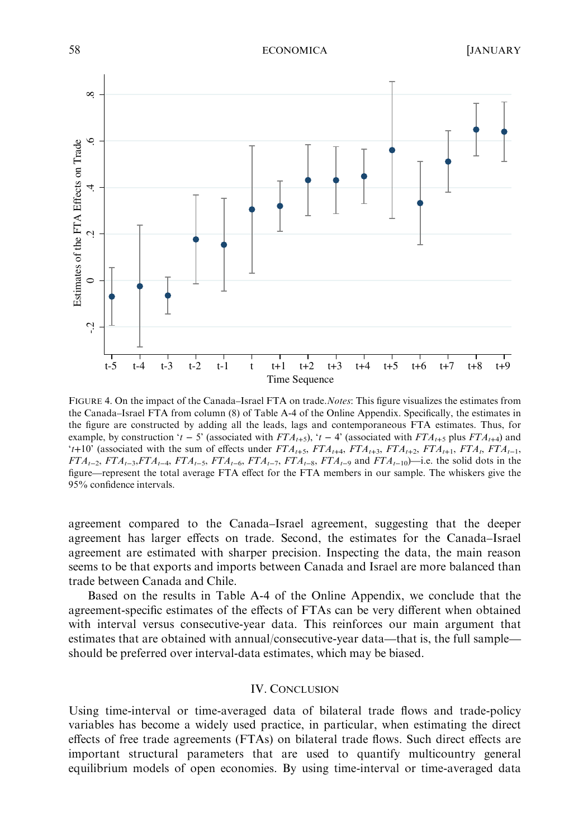

FIGURE 4. On the impact of the Canada–Israel FTA on trade.Notes: This figure visualizes the estimates from the Canada–Israel FTA from column (8) of Table A-4 of the Online Appendix. Specifically, the estimates in the figure are constructed by adding all the leads, lags and contemporaneous FTA estimates. Thus, for example, by construction 't − 5' (associated with  $FTA_{t+5}$ ), 't − 4' (associated with  $FTA_{t+5}$  plus  $FTA_{t+4}$ ) and 't+10' (associated with the sum of effects under  $FTA_{t+5}$ ,  $FTA_{t+4}$ ,  $FTA_{t+3}$ ,  $FTA_{t+2}$ ,  $FTA_{t+1}$ ,  $FTA_{t}$ ,  $FTA_{t-1}$ ,  $FTA_{t-2}$ ,  $FTA_{t-3}$ , $FTA_{t-4}$ ,  $FTA_{t-5}$ ,  $FTA_{t-6}$ ,  $FTA_{t-7}$ ,  $FTA_{t-8}$ ,  $FTA_{t-9}$  and  $FTA_{t-10}$ —i.e. the solid dots in the figure—represent the total average FTA effect for the FTA members in our sample. The whiskers give the 95% confidence intervals.

agreement compared to the Canada–Israel agreement, suggesting that the deeper agreement has larger effects on trade. Second, the estimates for the Canada–Israel agreement are estimated with sharper precision. Inspecting the data, the main reason seems to be that exports and imports between Canada and Israel are more balanced than trade between Canada and Chile.

Based on the results in Table A-4 of the Online Appendix, we conclude that the agreement-specific estimates of the effects of FTAs can be very different when obtained with interval versus consecutive-year data. This reinforces our main argument that estimates that are obtained with annual/consecutive-year data—that is, the full sample should be preferred over interval-data estimates, which may be biased.

## IV. CONCLUSION

Using time-interval or time-averaged data of bilateral trade flows and trade-policy variables has become a widely used practice, in particular, when estimating the direct effects of free trade agreements (FTAs) on bilateral trade flows. Such direct effects are important structural parameters that are used to quantify multicountry general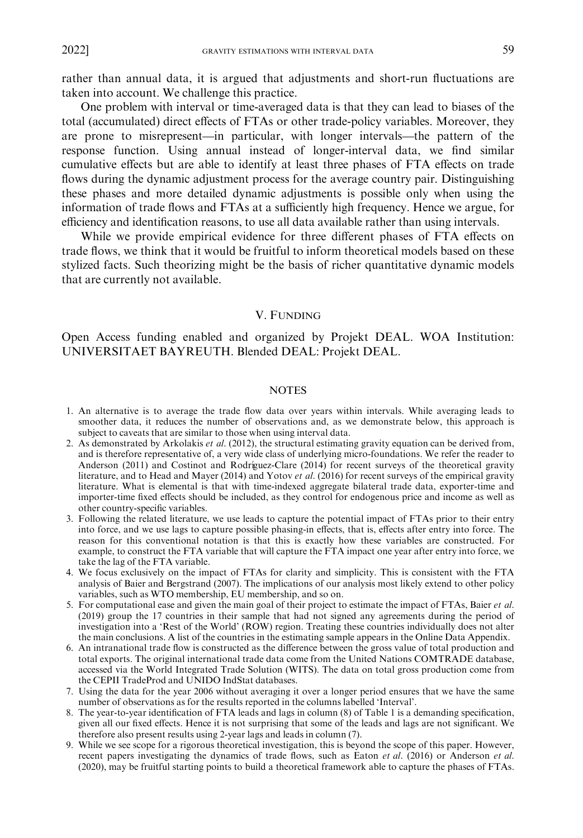rather than annual data, it is argued that adjustments and short-run fluctuations are taken into account. We challenge this practice.

One problem with interval or time-averaged data is that they can lead to biases of the total (accumulated) direct effects of FTAs or other trade-policy variables. Moreover, they are prone to misrepresent—in particular, with longer intervals—the pattern of the response function. Using annual instead of longer-interval data, we find similar cumulative effects but are able to identify at least three phases of FTA effects on trade flows during the dynamic adjustment process for the average country pair. Distinguishing these phases and more detailed dynamic adjustments is possible only when using the information of trade flows and FTAs at a sufficiently high frequency. Hence we argue, for efficiency and identification reasons, to use all data available rather than using intervals.

While we provide empirical evidence for three different phases of FTA effects on trade flows, we think that it would be fruitful to inform theoretical models based on these stylized facts. Such theorizing might be the basis of richer quantitative dynamic models that are currently not available.

## V. FUNDING

Open Access funding enabled and organized by Projekt DEAL. WOA Institution: UNIVERSITAET BAYREUTH. Blended DEAL: Projekt DEAL.

## **NOTES**

- 1. An alternative is to average the trade flow data over years within intervals. While averaging leads to smoother data, it reduces the number of observations and, as we demonstrate below, this approach is subject to caveats that are similar to those when using interval data.
- 2. As demonstrated by Arkolakis et al. (2012), the structural estimating gravity equation can be derived from, and is therefore representative of, a very wide class of underlying micro-foundations. We refer the reader to Anderson (2011) and Costinot and Rodríguez-Clare (2014) for recent surveys of the theoretical gravity literature, and to Head and Mayer (2014) and Yotov et al. (2016) for recent surveys of the empirical gravity literature. What is elemental is that with time-indexed aggregate bilateral trade data, exporter-time and importer-time fixed effects should be included, as they control for endogenous price and income as well as other country-specific variables.
- 3. Following the related literature, we use leads to capture the potential impact of FTAs prior to their entry into force, and we use lags to capture possible phasing-in effects, that is, effects after entry into force. The reason for this conventional notation is that this is exactly how these variables are constructed. For example, to construct the FTA variable that will capture the FTA impact one year after entry into force, we take the lag of the FTA variable.
- 4. We focus exclusively on the impact of FTAs for clarity and simplicity. This is consistent with the FTA analysis of Baier and Bergstrand (2007). The implications of our analysis most likely extend to other policy variables, such as WTO membership, EU membership, and so on.
- 5. For computational ease and given the main goal of their project to estimate the impact of FTAs, Baier et al. (2019) group the 17 countries in their sample that had not signed any agreements during the period of investigation into a 'Rest of the World' (ROW) region. Treating these countries individually does not alter the main conclusions. A list of the countries in the estimating sample appears in the Online Data Appendix.
- 6. An intranational trade flow is constructed as the difference between the gross value of total production and total exports. The original international trade data come from the United Nations COMTRADE database, accessed via the World Integrated Trade Solution (WITS). The data on total gross production come from the CEPII TradeProd and UNIDO IndStat databases.
- 7. Using the data for the year 2006 without averaging it over a longer period ensures that we have the same number of observations as for the results reported in the columns labelled 'Interval'.
- 8. The year-to-year identification of FTA leads and lags in column (8) of Table 1 is a demanding specification, given all our fixed effects. Hence it is not surprising that some of the leads and lags are not significant. We therefore also present results using 2-year lags and leads in column (7).
- 9. While we see scope for a rigorous theoretical investigation, this is beyond the scope of this paper. However, recent papers investigating the dynamics of trade flows, such as Eaton *et al.* (2016) or Anderson *et al.* (2020), may be fruitful starting points to build a theoretical framework able to capture the phases of FTAs.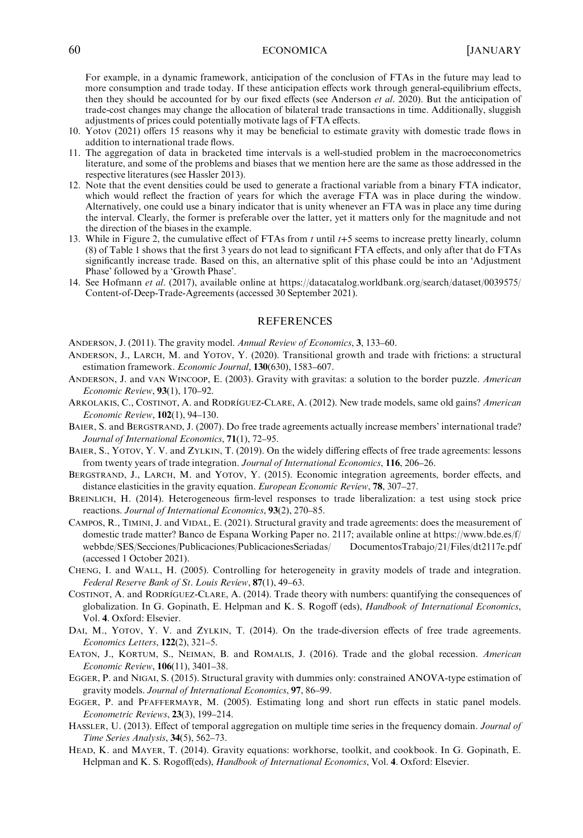#### 60 ECONOMICA [JANUARY

For example, in a dynamic framework, anticipation of the conclusion of FTAs in the future may lead to more consumption and trade today. If these anticipation effects work through general-equilibrium effects, then they should be accounted for by our fixed effects (see Anderson et al. 2020). But the anticipation of trade-cost changes may change the allocation of bilateral trade transactions in time. Additionally, sluggish adjustments of prices could potentially motivate lags of FTA effects.

- 10. Yotov (2021) offers 15 reasons why it may be beneficial to estimate gravity with domestic trade flows in addition to international trade flows.
- 11. The aggregation of data in bracketed time intervals is a well-studied problem in the macroeconometrics literature, and some of the problems and biases that we mention here are the same as those addressed in the respective literatures (see Hassler 2013).
- 12. Note that the event densities could be used to generate a fractional variable from a binary FTA indicator, which would reflect the fraction of years for which the average FTA was in place during the window. Alternatively, one could use a binary indicator that is unity whenever an FTA was in place any time during the interval. Clearly, the former is preferable over the latter, yet it matters only for the magnitude and not the direction of the biases in the example.
- 13. While in Figure 2, the cumulative effect of FTAs from t until t+5 seems to increase pretty linearly, column (8) of Table 1 shows that the first 3 years do not lead to significant FTA effects, and only after that do FTAs significantly increase trade. Based on this, an alternative split of this phase could be into an 'Adjustment Phase' followed by a 'Growth Phase'.
- 14. See Hofmann et al. (2017), available online at [https://datacatalog.worldbank.org/search/dataset/0039575/](https://datacatalog.worldbank.org/search/dataset/0039575/Content-of-Deep-Trade-Agreements) [Content-of-Deep-Trade-Agreements](https://datacatalog.worldbank.org/search/dataset/0039575/Content-of-Deep-Trade-Agreements) (accessed 30 September 2021).

#### **REFERENCES**

ANDERSON, J. (2011). The gravity model. Annual Review of Economics, 3, 133–60.

- ANDERSON, J., LARCH, M. and YOTOV, Y. (2020). Transitional growth and trade with frictions: a structural estimation framework. Economic Journal, 130(630), 1583–607.
- ANDERSON, J. and VAN WINCOOP, E. (2003). Gravity with gravitas: a solution to the border puzzle. American Economic Review, 93(1), 170–92.
- ARKOLAKIS, C., COSTINOT, A. and RODRÍGUEZ-CLARE, A. (2012). New trade models, same old gains? American Economic Review, 102(1), 94–130.
- BAIER, S. and BERGSTRAND, J. (2007). Do free trade agreements actually increase members' international trade? Journal of International Economics, 71(1), 72–95.
- BAIER, S., YOTOV, Y. V. and ZYLKIN, T. (2019). On the widely differing effects of free trade agreements: lessons from twenty years of trade integration. Journal of International Economics, 116, 206-26.
- BERGSTRAND, J., LARCH, M. and YOTOV, Y. (2015). Economic integration agreements, border effects, and distance elasticities in the gravity equation. European Economic Review, 78, 307–27.
- BREINLICH, H. (2014). Heterogeneous firm-level responses to trade liberalization: a test using stock price reactions. Journal of International Economics, 93(2), 270–85.
- CAMPOS, R., TIMINI, J. and VIDAL, E. (2021). Structural gravity and trade agreements: does the measurement of domestic trade matter? Banco de Espana Working Paper no. 2117; available online at [https://www.bde.es/f/](https://www.bde.es/f/webbde/SES/Secciones/Publicaciones/PublicacionesSeriadas/) [webbde/SES/Secciones/Publicaciones/PublicacionesSeriadas/](https://www.bde.es/f/webbde/SES/Secciones/Publicaciones/PublicacionesSeriadas/) DocumentosTrabajo/21/Files/dt2117e.pdf (accessed 1 October 2021).
- CHENG, I. and WALL, H. (2005). Controlling for heterogeneity in gravity models of trade and integration. Federal Reserve Bank of St. Louis Review, 87(1), 49–63.
- COSTINOT, A. and RODRÍGUEZ-CLARE, A. (2014). Trade theory with numbers: quantifying the consequences of globalization. In G. Gopinath, E. Helpman and K. S. Rogoff (eds), Handbook of International Economics, Vol. 4. Oxford: Elsevier.
- DAI, M., YOTOV, Y. V. and ZYLKIN, T. (2014). On the trade-diversion effects of free trade agreements. Economics Letters, 122(2), 321–5.
- EATON, J., KORTUM, S., NEIMAN, B. and ROMALIS, J. (2016). Trade and the global recession. American Economic Review, 106(11), 3401–38.
- EGGER, P. and NIGAI, S. (2015). Structural gravity with dummies only: constrained ANOVA-type estimation of gravity models. Journal of International Economics, 97, 86–99.
- EGGER, P. and PFAFFERMAYR, M. (2005). Estimating long and short run effects in static panel models. Econometric Reviews, 23(3), 199–214.
- HASSLER, U. (2013). Effect of temporal aggregation on multiple time series in the frequency domain. Journal of Time Series Analysis, 34(5), 562–73.
- HEAD, K. and MAYER, T. (2014). Gravity equations: workhorse, toolkit, and cookbook. In G. Gopinath, E. Helpman and K. S. Rogoff(eds), *Handbook of International Economics*, Vol. 4. Oxford: Elsevier.